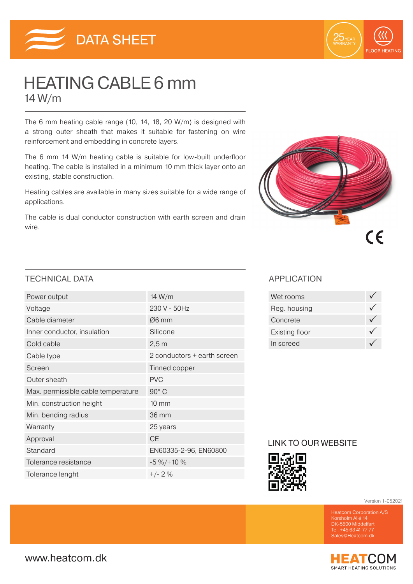



# HEATING CABLE 6 mm 14 W/m

The 6 mm heating cable range (10, 14, 18, 20 W/m) is designed with a strong outer sheath that makes it suitable for fastening on wire reinforcement and embedding in concrete layers.

The 6 mm 14 W/m heating cable is suitable for low-built underfloor heating. The cable is installed in a minimum 10 mm thick layer onto an existing, stable construction.

Heating cables are available in many sizes suitable for a wide range of applications.

The cable is dual conductor construction with earth screen and drain wire.



## TECHNICAL DATA APPLICATION

| Power output                       | 14 W/m                      |
|------------------------------------|-----------------------------|
| Voltage                            | 230 V - 50Hz                |
| Cable diameter                     | $\varnothing$ 6 mm          |
| Inner conductor, insulation        | Silicone                    |
| Cold cable                         | 2,5m                        |
| Cable type                         | 2 conductors + earth screen |
| Screen                             | Tinned copper               |
| Outer sheath                       | <b>PVC</b>                  |
| Max. permissible cable temperature | 90° C                       |
| Min. construction height           | $10 \, \text{mm}$           |
| Min. bending radius                | 36 mm                       |
| Warranty                           | 25 years                    |
| Approval                           | <b>CE</b>                   |
| Standard                           | EN60335-2-96, EN60800       |
| Tolerance resistance               | $-5\% / + 10\%$             |
| Tolerance lenght                   | $+/- 2%$                    |

| Wet rooms      |  |
|----------------|--|
| Reg. housing   |  |
| Concrete       |  |
| Existing floor |  |
| In screed      |  |

## LINK TO OUR WEBSITE



Version 1-052021

Korsholm Allé 14 DK-5500 Middelfart Tel. +45 63 41 77 77